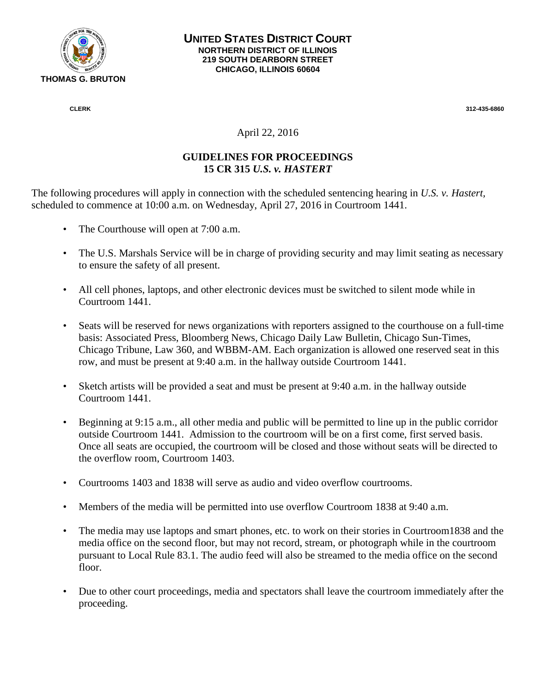

 **CLERK 312-435-6860** 

## April 22, 2016

## **GUIDELINES FOR PROCEEDINGS 15 CR 315** *U.S. v. HASTERT*

The following procedures will apply in connection with the scheduled sentencing hearing in *U.S. v. Hastert,*  scheduled to commence at 10:00 a.m. on Wednesday, April 27, 2016 in Courtroom 1441.

- The Courthouse will open at 7:00 a.m.
- The U.S. Marshals Service will be in charge of providing security and may limit seating as necessary to ensure the safety of all present.
- All cell phones, laptops, and other electronic devices must be switched to silent mode while in Courtroom 1441.
- Seats will be reserved for news organizations with reporters assigned to the courthouse on a full-time basis: Associated Press, Bloomberg News, Chicago Daily Law Bulletin, Chicago Sun-Times, Chicago Tribune, Law 360, and WBBM-AM. Each organization is allowed one reserved seat in this row, and must be present at 9:40 a.m. in the hallway outside Courtroom 1441.
- Sketch artists will be provided a seat and must be present at 9:40 a.m. in the hallway outside Courtroom 1441.
- Beginning at 9:15 a.m., all other media and public will be permitted to line up in the public corridor outside Courtroom 1441. Admission to the courtroom will be on a first come, first served basis. Once all seats are occupied, the courtroom will be closed and those without seats will be directed to the overflow room, Courtroom 1403.
- Courtrooms 1403 and 1838 will serve as audio and video overflow courtrooms.
- Members of the media will be permitted into use overflow Courtroom 1838 at 9:40 a.m.
- The media may use laptops and smart phones, etc. to work on their stories in Courtroom 1838 and the media office on the second floor, but may not record, stream, or photograph while in the courtroom pursuant to Local Rule 83.1. The audio feed will also be streamed to the media office on the second floor.
- Due to other court proceedings, media and spectators shall leave the courtroom immediately after the proceeding.